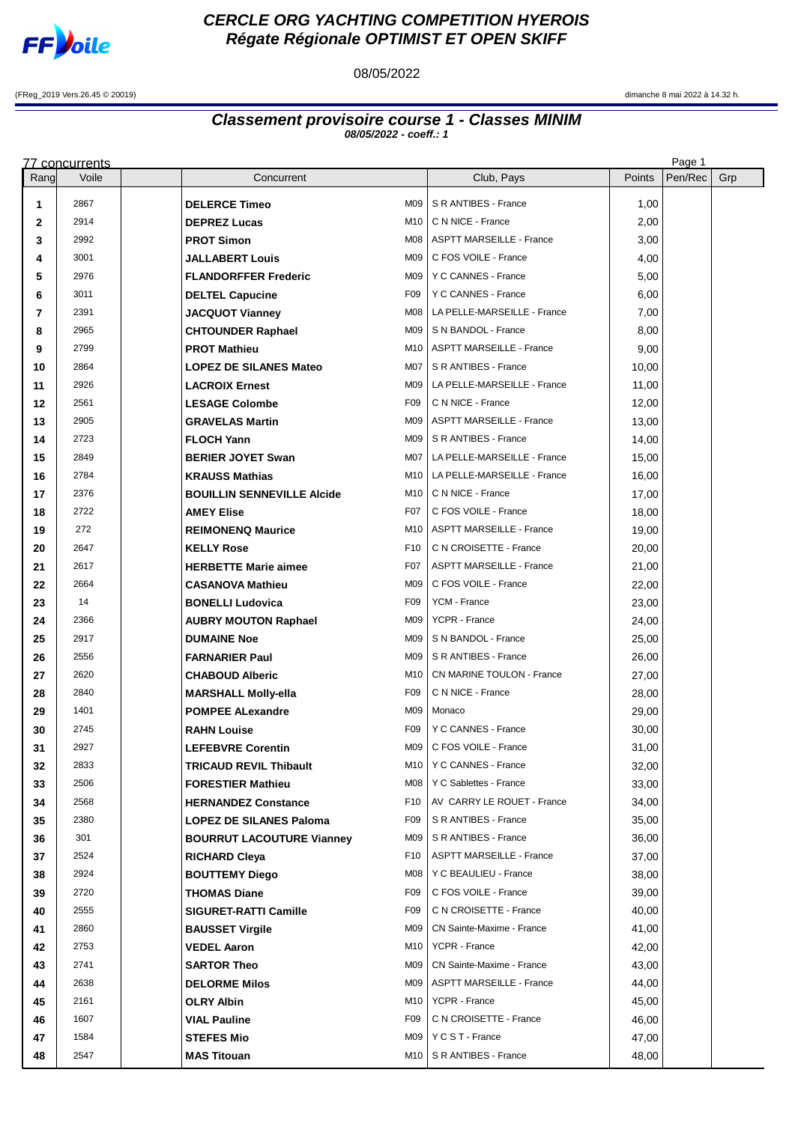

## **CERCLE ORG YACHTING COMPETITION HYEROIS Régate Régionale OPTIMIST ET OPEN SKIFF**

08/05/2022

(FReg\_2019 Vers.26.45 © 20019) dimanche 8 mai 2022 à 14.32 h.

## **Classement provisoire course 1 - Classes MINIM 08/05/2022 - coeff.: 1**

|          | <u>77 concurrents</u> |                                                       |                                                |                | Page 1  |     |
|----------|-----------------------|-------------------------------------------------------|------------------------------------------------|----------------|---------|-----|
| Rang     | Voile                 | Concurrent                                            | Club, Pays                                     | Points         | Pen/Rec | Grp |
| 1        | 2867                  | M09<br><b>DELERCE Timeo</b>                           | S R ANTIBES - France                           | 1,00           |         |     |
| 2        | 2914                  | M10<br><b>DEPREZ Lucas</b>                            | C N NICE - France                              | 2,00           |         |     |
| 3        | 2992                  | <b>PROT Simon</b>                                     | M08   ASPTT MARSEILLE - France                 | 3,00           |         |     |
| 4        | 3001                  | <b>JALLABERT Louis</b>                                | M09   C FOS VOILE - France                     | 4,00           |         |     |
| 5        | 2976                  | <b>FLANDORFFER Frederic</b>                           | M09   Y C CANNES - France                      | 5,00           |         |     |
| 6        | 3011                  | F09<br><b>DELTEL Capucine</b>                         | Y C CANNES - France                            | 6,00           |         |     |
| 7        | 2391                  | M <sub>08</sub><br><b>JACQUOT Vianney</b>             | LA PELLE-MARSEILLE - France                    | 7,00           |         |     |
| 8        | 2965                  | <b>CHTOUNDER Raphael</b>                              | M09   S N BANDOL - France                      | 8,00           |         |     |
| 9        | 2799                  | <b>PROT Mathieu</b><br>M10                            | <b>ASPTT MARSEILLE - France</b>                | 9,00           |         |     |
| 10       | 2864                  | M07<br><b>LOPEZ DE SILANES Mateo</b>                  | S R ANTIBES - France                           | 10,00          |         |     |
| 11       | 2926                  | M09<br><b>LACROIX Ernest</b>                          | LA PELLE-MARSEILLE - France                    | 11,00          |         |     |
| 12       | 2561                  | F09<br><b>LESAGE Colombe</b>                          | C N NICE - France                              | 12,00          |         |     |
| 13       | 2905                  | <b>GRAVELAS Martin</b><br>M09                         | <b>ASPTT MARSEILLE - France</b>                | 13,00          |         |     |
| 14       | 2723                  | <b>FLOCH Yann</b><br>M09                              | S R ANTIBES - France                           | 14,00          |         |     |
| 15       | 2849                  | M07<br><b>BERIER JOYET Swan</b>                       | LA PELLE-MARSEILLE - France                    | 15,00          |         |     |
| 16       | 2784                  | <b>KRAUSS Mathias</b><br>M10 I                        | LA PELLE-MARSEILLE - France                    | 16,00          |         |     |
| 17       | 2376                  | <b>BOUILLIN SENNEVILLE Alcide</b><br>M10              | C N NICE - France                              | 17,00          |         |     |
| 18       | 2722                  | <b>AMEY Elise</b><br>F <sub>0</sub> 7                 | C FOS VOILE - France                           | 18,00          |         |     |
| 19       | 272                   | <b>REIMONENQ Maurice</b>                              | M10   ASPTT MARSEILLE - France                 | 19,00          |         |     |
| 20       | 2647                  | F10<br><b>KELLY Rose</b>                              | C N CROISETTE - France                         | 20,00          |         |     |
| 21       | 2617                  | F07<br><b>HERBETTE Marie aimee</b>                    | <b>ASPTT MARSEILLE - France</b>                | 21,00          |         |     |
| 22       | 2664                  | M09<br><b>CASANOVA Mathieu</b>                        | C FOS VOILE - France                           | 22,00          |         |     |
| 23       | 14                    | F09<br><b>BONELLI Ludovica</b>                        | YCM - France                                   | 23,00          |         |     |
| 24       | 2366                  | M09<br><b>AUBRY MOUTON Raphael</b>                    | YCPR - France                                  | 24,00          |         |     |
| 25       | 2917                  | <b>DUMAINE Noe</b><br>M09                             | S N BANDOL - France                            | 25,00          |         |     |
| 26       | 2556                  | M09<br><b>FARNARIER Paul</b>                          | S R ANTIBES - France                           | 26,00          |         |     |
| 27       | 2620<br>2840          | <b>CHABOUD Alberic</b><br>M10<br>F09                  | CN MARINE TOULON - France<br>C N NICE - France | 27,00          |         |     |
| 28       | 1401                  | <b>MARSHALL Molly-ella</b><br>M09                     | Monaco                                         | 28,00          |         |     |
| 29       | 2745                  | <b>POMPEE ALexandre</b><br>F <sub>09</sub>            | Y C CANNES - France                            | 29,00<br>30,00 |         |     |
| 30<br>31 | 2927                  | <b>RAHN Louise</b><br>M09<br><b>LEFEBVRE Corentin</b> | C FOS VOILE - France                           | 31,00          |         |     |
| 32       | 2833                  | <b>TRICAUD REVIL Thibault</b><br>M10 I                | Y C CANNES - France                            | 32,00          |         |     |
| 33       | 2506                  | <b>FORESTIER Mathieu</b>                              | M08   Y C Sablettes - France                   | 33,00          |         |     |
| 34       | 2568                  | F10<br><b>HERNANDEZ Constance</b>                     | AV CARRY LE ROUET - France                     | 34,00          |         |     |
| 35       | 2380                  | <b>LOPEZ DE SILANES Paloma</b><br>F <sub>09</sub>     | S R ANTIBES - France                           | 35,00          |         |     |
| 36       | 301                   | <b>BOURRUT LACOUTURE Vianney</b><br>M09               | S R ANTIBES - France                           | 36,00          |         |     |
| 37       | 2524                  | <b>RICHARD Cleva</b><br>F10                           | <b>ASPTT MARSEILLE - France</b>                | 37,00          |         |     |
| 38       | 2924                  | <b>BOUTTEMY Diego</b>                                 | M08   Y C BEAULIEU - France                    | 38,00          |         |     |
| 39       | 2720                  | <b>THOMAS Diane</b><br>F <sub>09</sub>                | C FOS VOILE - France                           | 39,00          |         |     |
| 40       | 2555                  | F09<br><b>SIGURET-RATTI Camille</b>                   | C N CROISETTE - France                         | 40,00          |         |     |
| 41       | 2860                  | M09<br><b>BAUSSET Virgile</b>                         | CN Sainte-Maxime - France                      | 41,00          |         |     |
| 42       | 2753                  | M10 I<br><b>VEDEL Aaron</b>                           | YCPR - France                                  | 42,00          |         |     |
| 43       | 2741                  | M09<br><b>SARTOR Theo</b>                             | CN Sainte-Maxime - France                      | 43,00          |         |     |
| 44       | 2638                  | <b>DELORME Milos</b><br>M09                           | <b>ASPTT MARSEILLE - France</b>                | 44,00          |         |     |
| 45       | 2161                  | <b>OLRY Albin</b><br>M10                              | YCPR - France                                  | 45,00          |         |     |
| 46       | 1607                  | <b>VIAL Pauline</b><br>F <sub>09</sub>                | C N CROISETTE - France                         | 46,00          |         |     |
| 47       | 1584                  | <b>STEFES Mio</b>                                     | M09   Y C S T - France                         | 47,00          |         |     |
| 48       | 2547                  | <b>MAS Titouan</b><br>M10 I                           | S R ANTIBES - France                           | 48,00          |         |     |
|          |                       |                                                       |                                                |                |         |     |